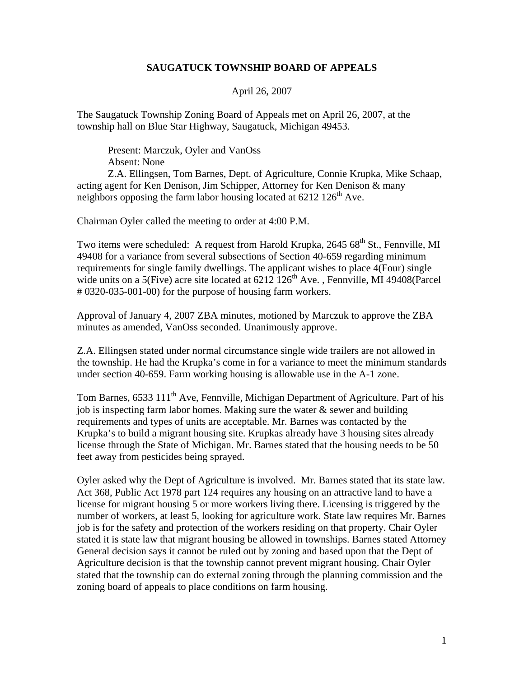## **SAUGATUCK TOWNSHIP BOARD OF APPEALS**

## April 26, 2007

The Saugatuck Township Zoning Board of Appeals met on April 26, 2007, at the township hall on Blue Star Highway, Saugatuck, Michigan 49453.

Present: Marczuk, Oyler and VanOss Absent: None

Z.A. Ellingsen, Tom Barnes, Dept. of Agriculture, Connie Krupka, Mike Schaap, acting agent for Ken Denison, Jim Schipper, Attorney for Ken Denison & many neighbors opposing the farm labor housing located at  $6212 \text{ } 126^{\text{th}}$  Ave.

Chairman Oyler called the meeting to order at 4:00 P.M.

Two items were scheduled: A request from Harold Krupka, 2645 68<sup>th</sup> St., Fennville, MI 49408 for a variance from several subsections of Section 40-659 regarding minimum requirements for single family dwellings. The applicant wishes to place 4(Four) single wide units on a 5(Five) acre site located at  $6212 \overline{126}$ <sup>th</sup> Ave., Fennville, MI 49408(Parcel # 0320-035-001-00) for the purpose of housing farm workers.

Approval of January 4, 2007 ZBA minutes, motioned by Marczuk to approve the ZBA minutes as amended, VanOss seconded. Unanimously approve.

Z.A. Ellingsen stated under normal circumstance single wide trailers are not allowed in the township. He had the Krupka's come in for a variance to meet the minimum standards under section 40-659. Farm working housing is allowable use in the A-1 zone.

Tom Barnes, 6533 111<sup>th</sup> Ave, Fennville, Michigan Department of Agriculture. Part of his job is inspecting farm labor homes. Making sure the water  $\&$  sewer and building requirements and types of units are acceptable. Mr. Barnes was contacted by the Krupka's to build a migrant housing site. Krupkas already have 3 housing sites already license through the State of Michigan. Mr. Barnes stated that the housing needs to be 50 feet away from pesticides being sprayed.

Oyler asked why the Dept of Agriculture is involved. Mr. Barnes stated that its state law. Act 368, Public Act 1978 part 124 requires any housing on an attractive land to have a license for migrant housing 5 or more workers living there. Licensing is triggered by the number of workers, at least 5, looking for agriculture work. State law requires Mr. Barnes job is for the safety and protection of the workers residing on that property. Chair Oyler stated it is state law that migrant housing be allowed in townships. Barnes stated Attorney General decision says it cannot be ruled out by zoning and based upon that the Dept of Agriculture decision is that the township cannot prevent migrant housing. Chair Oyler stated that the township can do external zoning through the planning commission and the zoning board of appeals to place conditions on farm housing.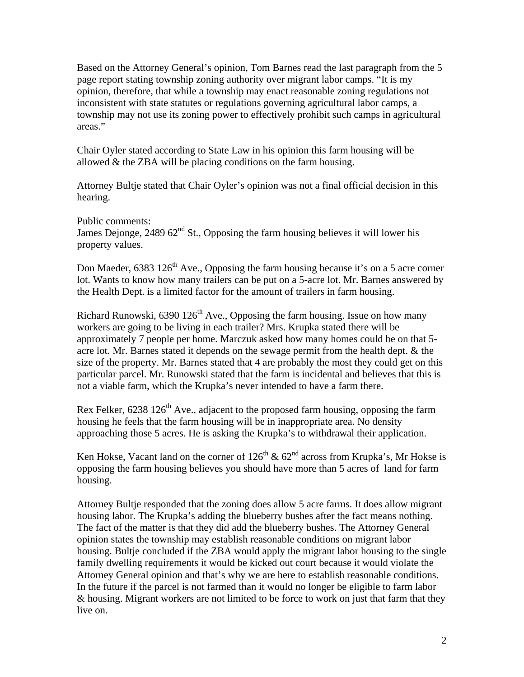Based on the Attorney General's opinion, Tom Barnes read the last paragraph from the 5 page report stating township zoning authority over migrant labor camps. "It is my opinion, therefore, that while a township may enact reasonable zoning regulations not inconsistent with state statutes or regulations governing agricultural labor camps, a township may not use its zoning power to effectively prohibit such camps in agricultural areas."

Chair Oyler stated according to State Law in his opinion this farm housing will be allowed & the ZBA will be placing conditions on the farm housing.

Attorney Bultje stated that Chair Oyler's opinion was not a final official decision in this hearing.

Public comments:

James Dejonge,  $248962<sup>nd</sup>$  St., Opposing the farm housing believes it will lower his property values.

Don Maeder,  $6383\,126^{\text{th}}$  Ave., Opposing the farm housing because it's on a 5 acre corner lot. Wants to know how many trailers can be put on a 5-acre lot. Mr. Barnes answered by the Health Dept. is a limited factor for the amount of trailers in farm housing.

Richard Runowski,  $6390\,126^{\text{th}}$  Ave., Opposing the farm housing. Issue on how many workers are going to be living in each trailer? Mrs. Krupka stated there will be approximately 7 people per home. Marczuk asked how many homes could be on that 5 acre lot. Mr. Barnes stated it depends on the sewage permit from the health dept. & the size of the property. Mr. Barnes stated that 4 are probably the most they could get on this particular parcel. Mr. Runowski stated that the farm is incidental and believes that this is not a viable farm, which the Krupka's never intended to have a farm there.

Rex Felker,  $6238$  126<sup>th</sup> Ave., adjacent to the proposed farm housing, opposing the farm housing he feels that the farm housing will be in inappropriate area. No density approaching those 5 acres. He is asking the Krupka's to withdrawal their application.

Ken Hokse, Vacant land on the corner of  $126^{th}$  &  $62^{nd}$  across from Krupka's, Mr Hokse is opposing the farm housing believes you should have more than 5 acres of land for farm housing.

Attorney Bultje responded that the zoning does allow 5 acre farms. It does allow migrant housing labor. The Krupka's adding the blueberry bushes after the fact means nothing. The fact of the matter is that they did add the blueberry bushes. The Attorney General opinion states the township may establish reasonable conditions on migrant labor housing. Bultje concluded if the ZBA would apply the migrant labor housing to the single family dwelling requirements it would be kicked out court because it would violate the Attorney General opinion and that's why we are here to establish reasonable conditions. In the future if the parcel is not farmed than it would no longer be eligible to farm labor & housing. Migrant workers are not limited to be force to work on just that farm that they live on.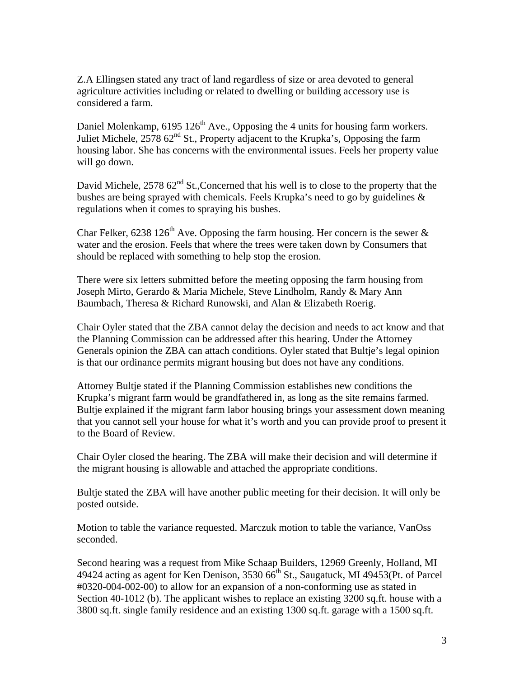Z.A Ellingsen stated any tract of land regardless of size or area devoted to general agriculture activities including or related to dwelling or building accessory use is considered a farm.

Daniel Molenkamp,  $6195\ 126<sup>th</sup>$  Ave., Opposing the 4 units for housing farm workers. Juliet Michele,  $257862<sup>nd</sup>$  St., Property adjacent to the Krupka's, Opposing the farm housing labor. She has concerns with the environmental issues. Feels her property value will go down.

David Michele,  $257862<sup>nd</sup>$  St., Concerned that his well is to close to the property that the bushes are being sprayed with chemicals. Feels Krupka's need to go by guidelines & regulations when it comes to spraying his bushes.

Char Felker, 6238 126<sup>th</sup> Ave. Opposing the farm housing. Her concern is the sewer  $\&$ water and the erosion. Feels that where the trees were taken down by Consumers that should be replaced with something to help stop the erosion.

There were six letters submitted before the meeting opposing the farm housing from Joseph Mirto, Gerardo & Maria Michele, Steve Lindholm, Randy & Mary Ann Baumbach, Theresa & Richard Runowski, and Alan & Elizabeth Roerig.

Chair Oyler stated that the ZBA cannot delay the decision and needs to act know and that the Planning Commission can be addressed after this hearing. Under the Attorney Generals opinion the ZBA can attach conditions. Oyler stated that Bultje's legal opinion is that our ordinance permits migrant housing but does not have any conditions.

Attorney Bultje stated if the Planning Commission establishes new conditions the Krupka's migrant farm would be grandfathered in, as long as the site remains farmed. Bultje explained if the migrant farm labor housing brings your assessment down meaning that you cannot sell your house for what it's worth and you can provide proof to present it to the Board of Review.

Chair Oyler closed the hearing. The ZBA will make their decision and will determine if the migrant housing is allowable and attached the appropriate conditions.

Bultje stated the ZBA will have another public meeting for their decision. It will only be posted outside.

Motion to table the variance requested. Marczuk motion to table the variance, VanOss seconded.

Second hearing was a request from Mike Schaap Builders, 12969 Greenly, Holland, MI 49424 acting as agent for Ken Denison,  $3530\,66^{th}$  St., Saugatuck, MI 49453(Pt. of Parcel #0320-004-002-00) to allow for an expansion of a non-conforming use as stated in Section 40-1012 (b). The applicant wishes to replace an existing 3200 sq.ft. house with a 3800 sq.ft. single family residence and an existing 1300 sq.ft. garage with a 1500 sq.ft.